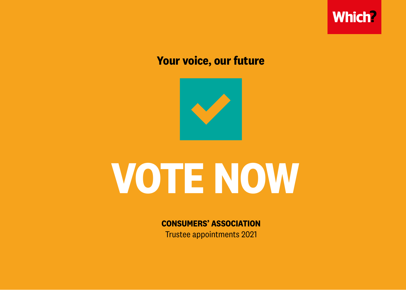

# **Your voice, our future**



# **VOTE NOW**

**CONSUMERS' ASSOCIATION**

Trustee appointments 2021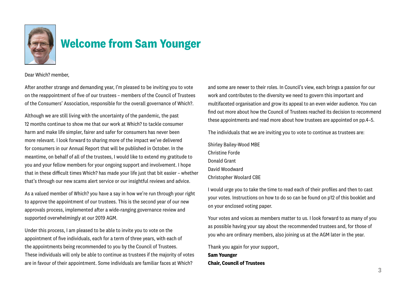

# **Welcome from Sam Younger**

Dear Which? member,

After another strange and demanding year, I'm pleased to be inviting you to vote on the reappointment of five of our trustees – members of the Council of Trustees of the Consumers' Association, responsible for the overall governance of Which?.

Although we are still living with the uncertainty of the pandemic, the past 12 months continue to show me that our work at Which? to tackle consumer harm and make life simpler, fairer and safer for consumers has never been more relevant. I look forward to sharing more of the impact we've delivered for consumers in our Annual Report that will be published in October. In the meantime, on behalf of all of the trustees, I would like to extend my gratitude to you and your fellow members for your ongoing support and involvement. I hope that in these difficult times Which? has made your life just that bit easier – whether that's through our new scams alert service or our insightful reviews and advice.

As a valued member of Which? you have a say in how we're run through your right to approve the appointment of our trustees. This is the second year of our new approvals process, implemented after a wide-ranging governance review and supported overwhelmingly at our 2019 AGM.

Under this process, I am pleased to be able to invite you to vote on the appointment of five individuals, each for a term of three years, with each of the appointments being recommended to you by the Council of Trustees. These individuals will only be able to continue as trustees if the majority of votes are in favour of their appointment. Some individuals are familiar faces at Which?

and some are newer to their roles. In Council's view, each brings a passion for our work and contributes to the diversity we need to govern this important and multifaceted organisation and grow its appeal to an even wider audience. You can find out more about how the Council of Trustees reached its decision to recommend these appointments and read more about how trustees are appointed on pp.4–5.

The individuals that we are inviting you to vote to continue as trustees are:

Shirley Bailey-Wood MBE Christine Forde Donald Grant David Woodward Christopher Woolard CBE

I would urge you to take the time to read each of their profiles and then to cast your votes. Instructions on how to do so can be found on p12 of this booklet and on your enclosed voting paper.

Your votes and voices as members matter to us. I look forward to as many of you as possible having your say about the recommended trustees and, for those of you who are ordinary members, also joining us at the AGM later in the year.

Thank you again for your support, **Sam Younger Chair, Council of Trustees**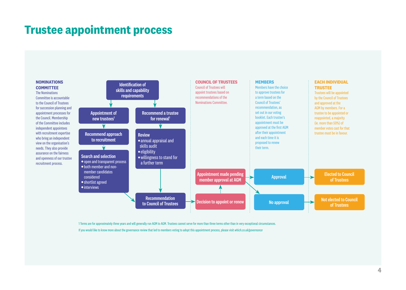# **Trustee appointment process**

**NOMINATIONS COMMITTEE** 

The Nominations Committee is accountable to the Council of Trustees for succession planning and appointment processes for the Council. Membership of the Committee includes independent appointees with recruitment expertise who bring an independent view on the organisation's needs. They also provide assurance on the fairness and openness of our trustee recruitment process.



1 Terms are for approximately three years and will generally run AGM to AGM. Trustees cannot serve for more than three terms other than in very exceptional circumstances.

If you would like to know more about the governance review that led to members voting to adopt this appointment process, please visit *which.co.uk/governance*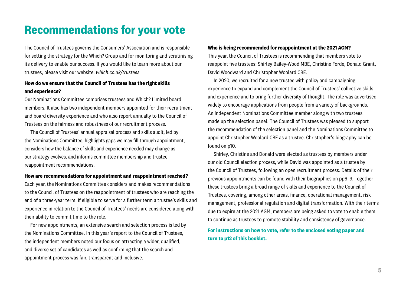# **Recommendations for your vote**

The Council of Trustees governs the Consumers' Association and is responsible for setting the strategy for the Which? Group and for monitoring and scrutinising its delivery to enable our success. If you would like to learn more about our trustees, please visit our website: *which.co.uk/trustees*

### **How do we ensure that the Council of Trustees has the right skills and experience?**

Our Nominations Committee comprises trustees and Which? Limited board members. It also has two independent members appointed for their recruitment and board diversity experience and who also report annually to the Council of Trustees on the fairness and robustness of our recruitment process.

The Council of Trustees' annual appraisal process and skills audit, led by the Nominations Committee, highlights gaps we may fill through appointment, considers how the balance of skills and experience needed may change as our strategy evolves, and informs committee membership and trustee reappointment recommendations.

#### **How are recommendations for appointment and reappointment reached?**

Each year, the Nominations Committee considers and makes recommendations to the Council of Trustees on the reappointment of trustees who are reaching the end of a three-year term. If eligible to serve for a further term a trustee's skills and experience in relation to the Council of Trustees' needs are considered along with their ability to commit time to the role.

For new appointments, an extensive search and selection process is led by the Nominations Committee. In this year's report to the Council of Trustees, the independent members noted our focus on attracting a wider, qualified, and diverse set of candidates as well as confirming that the search and appointment process was fair, transparent and inclusive.

#### **Who is being recommended for reappointment at the 2021 AGM?**

This year, the Council of Trustees is recommending that members vote to reappoint five trustees: Shirley Bailey-Wood MBE, Christine Forde, Donald Grant, David Woodward and Christopher Woolard CBE.

In 2020, we recruited for a new trustee with policy and campaigning experience to expand and complement the Council of Trustees' collective skills and experience and to bring further diversity of thought. The role was advertised widely to encourage applications from people from a variety of backgrounds. An independent Nominations Committee member along with two trustees made up the selection panel. The Council of Trustees was pleased to support the recommendation of the selection panel and the Nominations Committee to appoint Christopher Woolard CBE as a trustee. Christopher's biography can be found on p10.

Shirley, Christine and Donald were elected as trustees by members under our old Council election process, while David was appointed as a trustee by the Council of Trustees, following an open recruitment process. Details of their previous appointments can be found with their biographies on pp6–9. Together these trustees bring a broad range of skills and experience to the Council of Trustees, covering, among other areas, finance, operational management, risk management, professional regulation and digital transformation. With their terms due to expire at the 2021 AGM, members are being asked to vote to enable them to continue as trustees to promote stability and consistency of governance.

### **For instructions on how to vote, refer to the enclosed voting paper and turn to p12 of this booklet.**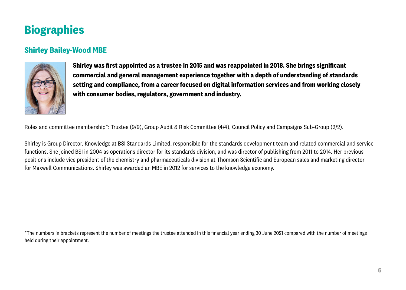# **Biographies**

## **Shirley Bailey-Wood MBE**



**Shirley was first appointed as a trustee in 2015 and was reappointed in 2018. She brings significant commercial and general management experience together with a depth of understanding of standards setting and compliance, from a career focused on digital information services and from working closely with consumer bodies, regulators, government and industry.** 

Roles and committee membership\*: Trustee (9/9), Group Audit & Risk Committee (4/4), Council Policy and Campaigns Sub-Group (2/2).

Shirley is Group Director, Knowledge at BSI Standards Limited, responsible for the standards development team and related commercial and service functions. She joined BSI in 2004 as operations director for its standards division, and was director of publishing from 2011 to 2014. Her previous positions include vice president of the chemistry and pharmaceuticals division at Thomson Scientific and European sales and marketing director for Maxwell Communications. Shirley was awarded an MBE in 2012 for services to the knowledge economy.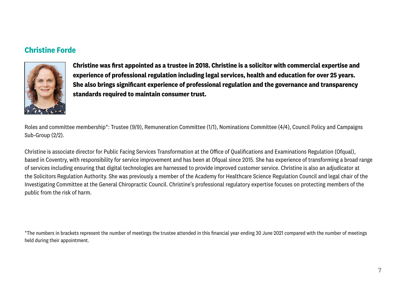## **Christine Forde**



**Christine was first appointed as a trustee in 2018. Christine is a solicitor with commercial expertise and experience of professional regulation including legal services, health and education for over 25 years. She also brings significant experience of professional regulation and the governance and transparency standards required to maintain consumer trust.**

Roles and committee membership\*: Trustee (9/9), Remuneration Committee (1/1), Nominations Committee (4/4), Council Policy and Campaigns Sub-Group (2/2).

Christine is associate director for Public Facing Services Transformation at the Office of Qualifications and Examinations Regulation (Ofqual), based in Coventry, with responsibility for service improvement and has been at Ofqual since 2015. She has experience of transforming a broad range of services including ensuring that digital technologies are harnessed to provide improved customer service. Christine is also an adjudicator at the Solicitors Regulation Authority. She was previously a member of the Academy for Healthcare Science Regulation Council and legal chair of the Investigating Committee at the General Chiropractic Council. Christine's professional regulatory expertise focuses on protecting members of the public from the risk of harm.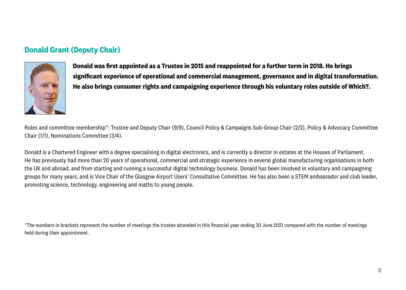## **Donald Grant (Deputy Chair)**



**Donald was first appointed as a Trustee in 2015 and reappointed for a further term in 2018. He brings significant experience of operational and commercial management, governance and in digital transformation. He also brings consumer rights and campaigning experience through his voluntary roles outside of Which?.** 

Roles and committee membership\*: Trustee and Deputy Chair (9/9), Council Policy & Campaigns Sub-Group Chair (2/2), Policy & Advocacy Committee Chair (1/1), Nominations Committee (3/4).

Donald is a Chartered Engineer with a degree specialising in digital electronics, and is currently a director in estates at the Houses of Parliament. He has previously had more than 20 years of operational, commercial and strategic experience in several global manufacturing organisations in both the UK and abroad, and from starting and running a successful digital technology business. Donald has been involved in voluntary and campaigning groups for many years, and is Vice Chair of the Glasgow Airport Users' Consultative Committee. He has also been a STEM ambassador and club leader, promoting science, technology, engineering and maths to young people.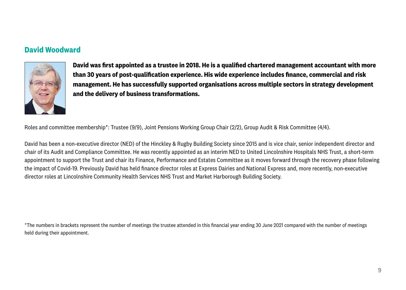## **David Woodward**



**David was first appointed as a trustee in 2018. He is a qualified chartered management accountant with more than 30 years of post-qualification experience. His wide experience includes finance, commercial and risk management. He has successfully supported organisations across multiple sectors in strategy development and the delivery of business transformations.**

Roles and committee membership\*: Trustee (9/9), Joint Pensions Working Group Chair (2/2), Group Audit & Risk Committee (4/4).

David has been a non-executive director (NED) of the Hinckley & Rugby Building Society since 2015 and is vice chair, senior independent director and chair of its Audit and Compliance Committee. He was recently appointed as an interim NED to United Lincolnshire Hospitals NHS Trust, a short-term appointment to support the Trust and chair its Finance, Performance and Estates Committee as it moves forward through the recovery phase following the impact of Covid-19. Previously David has held finance director roles at Express Dairies and National Express and, more recently, non-executive director roles at Lincolnshire Community Health Services NHS Trust and Market Harborough Building Society.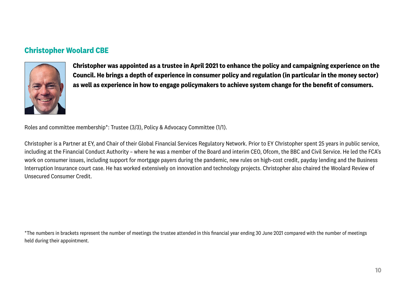## **Christopher Woolard CBE**



**Christopher was appointed as a trustee in April 2021 to enhance the policy and campaigning experience on the Council. He brings a depth of experience in consumer policy and regulation (in particular in the money sector) as well as experience in how to engage policymakers to achieve system change for the benefit of consumers.**

Roles and committee membership\*: Trustee (3/3), Policy & Advocacy Committee (1/1).

Christopher is a Partner at EY, and Chair of their Global Financial Services Regulatory Network. Prior to EY Christopher spent 25 years in public service, including at the Financial Conduct Authority – where he was a member of the Board and interim CEO, Ofcom, the BBC and Civil Service. He led the FCA's work on consumer issues, including support for mortgage payers during the pandemic, new rules on high-cost credit, payday lending and the Business Interruption Insurance court case. He has worked extensively on innovation and technology projects. Christopher also chaired the Woolard Review of Unsecured Consumer Credit.